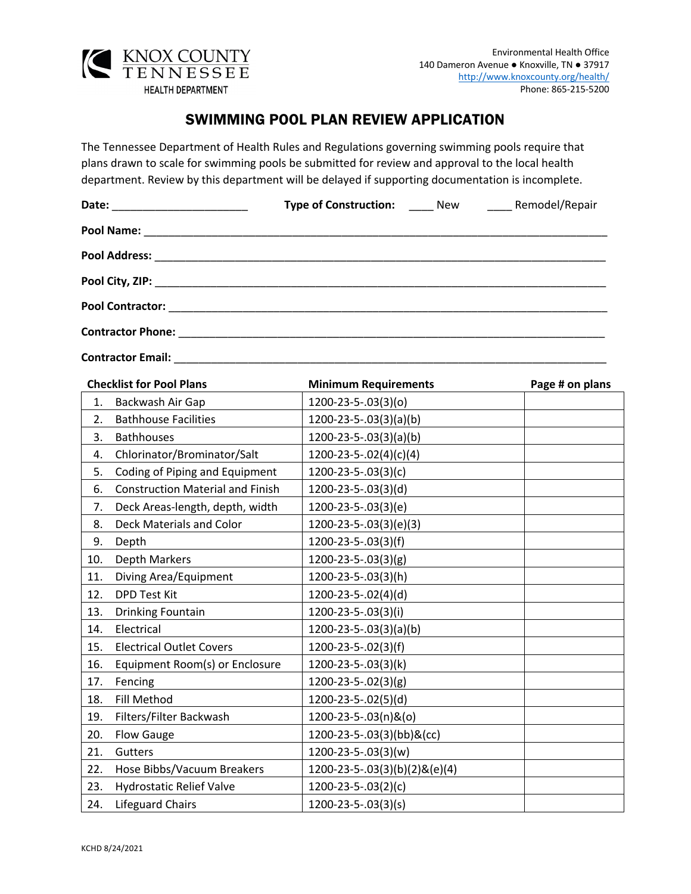

## SWIMMING POOL PLAN REVIEW APPLICATION

The Tennessee Department of Health Rules and Regulations governing swimming pools require that plans drawn to scale for swimming pools be submitted for review and approval to the local health department. Review by this department will be delayed if supporting documentation is incomplete.

| <b>Type of Construction:</b> New Remodel/Repair |  |
|-------------------------------------------------|--|
|                                                 |  |
|                                                 |  |
|                                                 |  |
|                                                 |  |
|                                                 |  |

**Contractor Email:** \_\_\_\_\_\_\_\_\_\_\_\_\_\_\_\_\_\_\_\_\_\_\_\_\_\_\_\_\_\_\_\_\_\_\_\_\_\_\_\_\_\_\_\_\_\_\_\_\_\_\_\_\_\_\_\_\_\_\_\_\_\_\_\_\_\_\_\_\_\_

|     | <b>Checklist for Pool Plans</b>         | <b>Minimum Requirements</b>    | Page # on plans |
|-----|-----------------------------------------|--------------------------------|-----------------|
| 1.  | Backwash Air Gap                        | 1200-23-5-.03(3)(o)            |                 |
| 2.  | <b>Bathhouse Facilities</b>             | 1200-23-5-.03(3)(a)(b)         |                 |
| 3.  | <b>Bathhouses</b>                       | 1200-23-5-.03(3)(a)(b)         |                 |
| 4.  | Chlorinator/Brominator/Salt             | $1200 - 23 - 5 - .02(4)(c)(4)$ |                 |
| 5.  | Coding of Piping and Equipment          | 1200-23-5-.03(3)(c)            |                 |
| 6.  | <b>Construction Material and Finish</b> | 1200-23-5-.03(3)(d)            |                 |
| 7.  | Deck Areas-length, depth, width         | 1200-23-5-.03(3)(e)            |                 |
| 8.  | <b>Deck Materials and Color</b>         | 1200-23-5-.03(3)(e)(3)         |                 |
| 9.  | Depth                                   | 1200-23-5-.03(3)(f)            |                 |
| 10. | Depth Markers                           | 1200-23-5-.03(3)(g)            |                 |
| 11. | Diving Area/Equipment                   | 1200-23-5-.03(3)(h)            |                 |
| 12. | <b>DPD Test Kit</b>                     | 1200-23-5-.02(4)(d)            |                 |
| 13. | Drinking Fountain                       | 1200-23-5-.03(3)(i)            |                 |
| 14. | Electrical                              | $1200 - 23 - 5 - .03(3)(a)(b)$ |                 |
| 15. | <b>Electrical Outlet Covers</b>         | 1200-23-5-.02(3)(f)            |                 |
| 16. | Equipment Room(s) or Enclosure          | 1200-23-5-.03(3)(k)            |                 |
| 17. | Fencing                                 | 1200-23-5-.02(3)(g)            |                 |
| 18. | <b>Fill Method</b>                      | 1200-23-5-.02(5)(d)            |                 |
| 19. | Filters/Filter Backwash                 | 1200-23-5-.03(n)&(o)           |                 |
| 20. | Flow Gauge                              | 1200-23-5-.03(3)(bb)&(cc)      |                 |
| 21. | Gutters                                 | $1200 - 23 - 5 - .03(3)(w)$    |                 |
| 22. | Hose Bibbs/Vacuum Breakers              | 1200-23-5-.03(3)(b)(2)&(e)(4)  |                 |
| 23. | <b>Hydrostatic Relief Valve</b>         | 1200-23-5-.03(2)(c)            |                 |
| 24. | Lifeguard Chairs                        | 1200-23-5-.03(3)(s)            |                 |